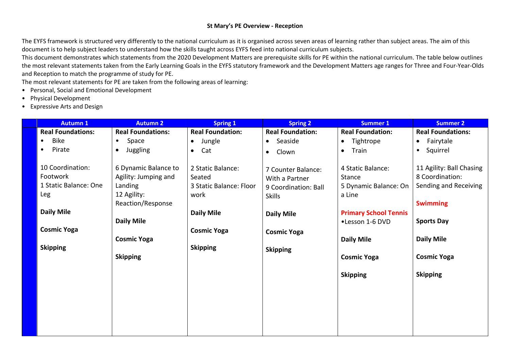# **St Mary's PE Overview - Reception**

The EYFS framework is structured very differently to the national curriculum as it is organised across seven areas of learning rather than subject areas. The aim of this document is to help subject leaders to understand how the skills taught across EYFS feed into national curriculum subjects.

This document demonstrates which statements from the 2020 Development Matters are prerequisite skills for PE within the national curriculum. The table below outlines the most relevant statements taken from the Early Learning Goals in the EYFS statutory framework and the Development Matters age ranges for Three and Four-Year-Olds and Reception to match the programme of study for PE.

The most relevant statements for PE are taken from the following areas of learning:

- Personal, Social and Emotional Development
- Physical Development
- Expressive Arts and Design

| <b>Autumn 1</b>                                              | <b>Autumn 2</b>                                                                             | <b>Spring 1</b>                                                | <b>Spring 2</b>                                                               | <b>Summer 1</b>                                                | <b>Summer 2</b>                                                                         |
|--------------------------------------------------------------|---------------------------------------------------------------------------------------------|----------------------------------------------------------------|-------------------------------------------------------------------------------|----------------------------------------------------------------|-----------------------------------------------------------------------------------------|
| <b>Real Foundations:</b>                                     | <b>Real Foundations:</b>                                                                    | <b>Real Foundation:</b>                                        | <b>Real Foundation:</b>                                                       | <b>Real Foundation:</b>                                        | <b>Real Foundations:</b>                                                                |
| Bike<br>$\bullet$                                            | Space<br>$\bullet$                                                                          | Jungle<br>$\bullet$                                            | Seaside<br>$\bullet$                                                          | Tightrope<br>$\bullet$                                         | Fairytale<br>$\bullet$                                                                  |
| Pirate<br>٠                                                  | Juggling<br>$\bullet$                                                                       | Cat<br>$\bullet$                                               | Clown<br>$\bullet$                                                            | Train<br>$\bullet$                                             | Squirrel<br>$\bullet$                                                                   |
| 10 Coordination:<br>Footwork<br>1 Static Balance: One<br>Leg | 6 Dynamic Balance to<br>Agility: Jumping and<br>Landing<br>12 Agility:<br>Reaction/Response | 2 Static Balance:<br>Seated<br>3 Static Balance: Floor<br>work | 7 Counter Balance:<br>With a Partner<br>9 Coordination: Ball<br><b>Skills</b> | 4 Static Balance:<br>Stance<br>5 Dynamic Balance: On<br>a Line | 11 Agility: Ball Chasing<br>8 Coordination:<br>Sending and Receiving<br><b>Swimming</b> |
| <b>Daily Mile</b>                                            | <b>Daily Mile</b>                                                                           | <b>Daily Mile</b>                                              | <b>Daily Mile</b>                                                             | <b>Primary School Tennis</b><br>•Lesson 1-6 DVD                | <b>Sports Day</b>                                                                       |
| <b>Cosmic Yoga</b>                                           |                                                                                             | <b>Cosmic Yoga</b>                                             | <b>Cosmic Yoga</b>                                                            |                                                                |                                                                                         |
| <b>Skipping</b>                                              | <b>Cosmic Yoga</b><br><b>Skipping</b>                                                       | <b>Skipping</b>                                                | <b>Skipping</b>                                                               | <b>Daily Mile</b><br><b>Cosmic Yoga</b>                        | <b>Daily Mile</b><br><b>Cosmic Yoga</b>                                                 |
|                                                              |                                                                                             |                                                                |                                                                               | <b>Skipping</b>                                                | <b>Skipping</b>                                                                         |
|                                                              |                                                                                             |                                                                |                                                                               |                                                                |                                                                                         |
|                                                              |                                                                                             |                                                                |                                                                               |                                                                |                                                                                         |
|                                                              |                                                                                             |                                                                |                                                                               |                                                                |                                                                                         |